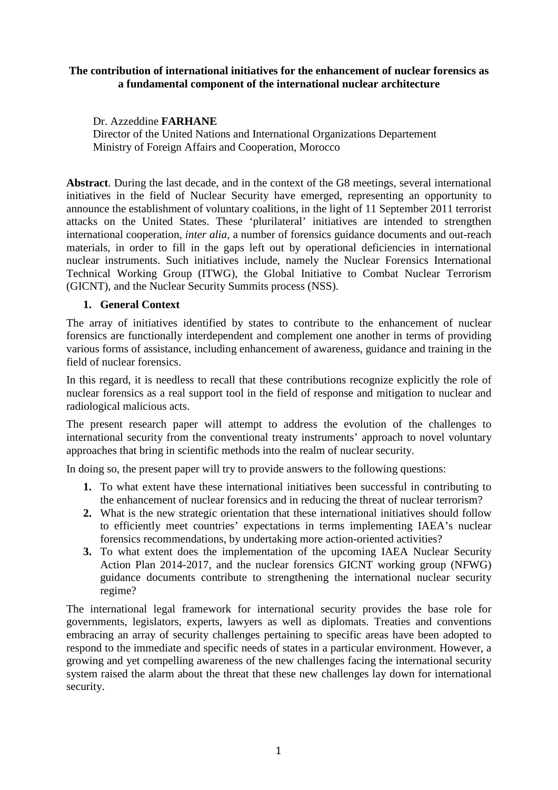#### **The contribution of international initiatives for the enhancement of nuclear forensics as a fundamental component of the international nuclear architecture**

Dr. Azzeddine **FARHANE** 

Director of the United Nations and International Organizations Departement Ministry of Foreign Affairs and Cooperation, Morocco

**Abstract**. During the last decade, and in the context of the G8 meetings, several international initiatives in the field of Nuclear Security have emerged, representing an opportunity to announce the establishment of voluntary coalitions, in the light of 11 September 2011 terrorist attacks on the United States. These 'plurilateral' initiatives are intended to strengthen international cooperation*, inter alia,* a number of forensics guidance documents and out-reach materials, in order to fill in the gaps left out by operational deficiencies in international nuclear instruments. Such initiatives include, namely the Nuclear Forensics International Technical Working Group (ITWG), the Global Initiative to Combat Nuclear Terrorism (GICNT), and the Nuclear Security Summits process (NSS).

### **1. General Context**

The array of initiatives identified by states to contribute to the enhancement of nuclear forensics are functionally interdependent and complement one another in terms of providing various forms of assistance, including enhancement of awareness, guidance and training in the field of nuclear forensics.

In this regard, it is needless to recall that these contributions recognize explicitly the role of nuclear forensics as a real support tool in the field of response and mitigation to nuclear and radiological malicious acts.

The present research paper will attempt to address the evolution of the challenges to international security from the conventional treaty instruments' approach to novel voluntary approaches that bring in scientific methods into the realm of nuclear security.

In doing so, the present paper will try to provide answers to the following questions:

- **1.** To what extent have these international initiatives been successful in contributing to the enhancement of nuclear forensics and in reducing the threat of nuclear terrorism?
- **2.** What is the new strategic orientation that these international initiatives should follow to efficiently meet countries' expectations in terms implementing IAEA's nuclear forensics recommendations, by undertaking more action-oriented activities?
- **3.** To what extent does the implementation of the upcoming IAEA Nuclear Security Action Plan 2014-2017, and the nuclear forensics GICNT working group (NFWG) guidance documents contribute to strengthening the international nuclear security regime?

The international legal framework for international security provides the base role for governments, legislators, experts, lawyers as well as diplomats. Treaties and conventions embracing an array of security challenges pertaining to specific areas have been adopted to respond to the immediate and specific needs of states in a particular environment. However, a growing and yet compelling awareness of the new challenges facing the international security system raised the alarm about the threat that these new challenges lay down for international security.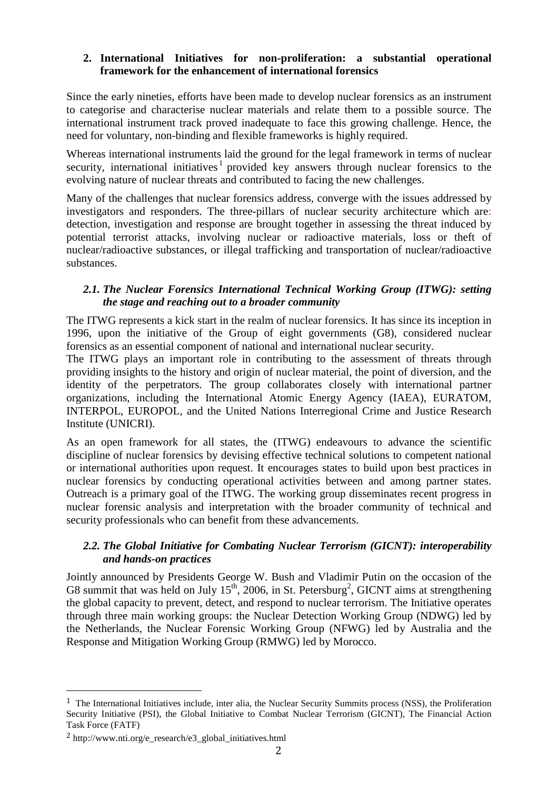#### **2. International Initiatives for non-proliferation: a substantial operational framework for the enhancement of international forensics**

Since the early nineties, efforts have been made to develop nuclear forensics as an instrument to categorise and characterise nuclear materials and relate them to a possible source. The international instrument track proved inadequate to face this growing challenge. Hence, the need for voluntary, non-binding and flexible frameworks is highly required.

Whereas international instruments laid the ground for the legal framework in terms of nuclear security, international initiatives<sup>1</sup> provided key answers through nuclear forensics to the evolving nature of nuclear threats and contributed to facing the new challenges.

Many of the challenges that nuclear forensics address, converge with the issues addressed by investigators and responders. The three-pillars of nuclear security architecture which are: detection, investigation and response are brought together in assessing the threat induced by potential terrorist attacks, involving nuclear or radioactive materials, loss or theft of nuclear/radioactive substances, or illegal trafficking and transportation of nuclear/radioactive substances.

## *2.1. The Nuclear Forensics International Technical Working Group (ITWG): setting the stage and reaching out to a broader community*

The ITWG represents a kick start in the realm of nuclear forensics. It has since its inception in 1996, upon the initiative of the Group of eight governments (G8), considered nuclear forensics as an essential component of national and international nuclear security.

The ITWG plays an important role in contributing to the assessment of threats through providing insights to the history and origin of nuclear material, the point of diversion, and the identity of the perpetrators. The group collaborates closely with international partner organizations, including the International Atomic Energy Agency (IAEA), EURATOM, INTERPOL, EUROPOL, and the United Nations Interregional Crime and Justice Research Institute (UNICRI).

As an open framework for all states, the (ITWG) endeavours to advance the scientific discipline of nuclear forensics by devising effective technical solutions to competent national or international authorities upon request. It encourages states to build upon best practices in nuclear forensics by conducting operational activities between and among partner states. Outreach is a primary goal of the ITWG. The working group disseminates recent progress in nuclear forensic analysis and interpretation with the broader community of technical and security professionals who can benefit from these advancements.

# *2.2. The Global Initiative for Combating Nuclear Terrorism (GICNT): interoperability and hands-on practices*

Jointly announced by Presidents George W. Bush and Vladimir Putin on the occasion of the G8 summit that was held on July  $15^{th}$ , 2006, in St. Petersburg<sup>2</sup>, GICNT aims at strengthening the global capacity to prevent, detect, and respond to nuclear terrorism. The Initiative operates through three main working groups: the Nuclear Detection Working Group (NDWG) led by the Netherlands, the Nuclear Forensic Working Group (NFWG) led by Australia and the Response and Mitigation Working Group (RMWG) led by Morocco.

 $\overline{a}$ 

<sup>1</sup> The International Initiatives include, inter alia, the Nuclear Security Summits process (NSS), the Proliferation Security Initiative (PSI), the Global Initiative to Combat Nuclear Terrorism (GICNT), The Financial Action Task Force (FATF)

 $2$  http://www.nti.org/e\_research/e3\_global\_initiatives.html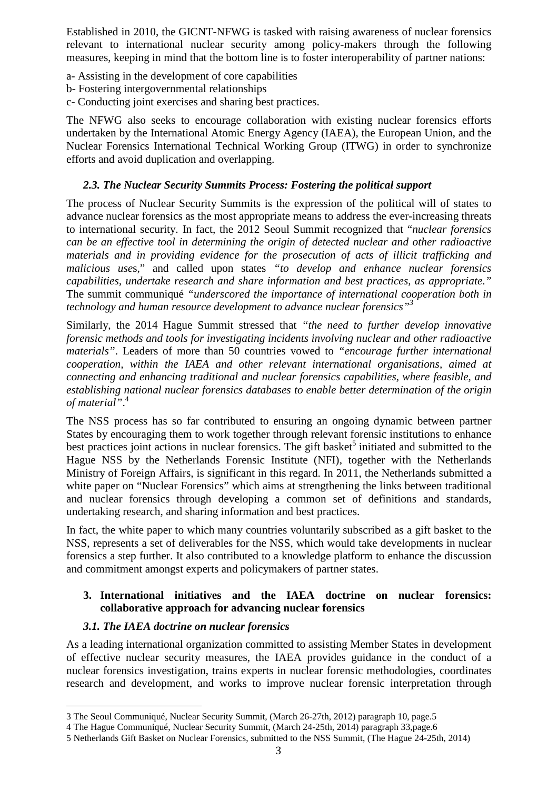Established in 2010, the GICNT-NFWG is tasked with raising awareness of nuclear forensics relevant to international nuclear security among policy-makers through the following measures, keeping in mind that the bottom line is to foster interoperability of partner nations:

- a- Assisting in the development of core capabilities
- b- Fostering intergovernmental relationships
- c- Conducting joint exercises and sharing best practices.

The NFWG also seeks to encourage collaboration with existing nuclear forensics efforts undertaken by the International Atomic Energy Agency (IAEA), the European Union, and the Nuclear Forensics International Technical Working Group (ITWG) in order to synchronize efforts and avoid duplication and overlapping.

#### *2.3. The Nuclear Security Summits Process: Fostering the political support*

The process of Nuclear Security Summits is the expression of the political will of states to advance nuclear forensics as the most appropriate means to address the ever-increasing threats to international security. In fact, the 2012 Seoul Summit recognized that "*nuclear forensics can be an effective tool in determining the origin of detected nuclear and other radioactive materials and in providing evidence for the prosecution of acts of illicit trafficking and malicious use*s," and called upon states *"to develop and enhance nuclear forensics capabilities, undertake research and share information and best practices, as appropriate*.*"*  The summit communiqué *"underscored the importance of international cooperation both in technology and human resource development to advance nuclear forensics"<sup>3</sup>*

Similarly, the 2014 Hague Summit stressed that *"the need to further develop innovative forensic methods and tools for investigating incidents involving nuclear and other radioactive materials"*. Leaders of more than 50 countries vowed to *"encourage further international cooperation, within the IAEA and other relevant international organisations, aimed at connecting and enhancing traditional and nuclear forensics capabilities, where feasible, and establishing national nuclear forensics databases to enable better determination of the origin of material"*. 4

The NSS process has so far contributed to ensuring an ongoing dynamic between partner States by encouraging them to work together through relevant forensic institutions to enhance best practices joint actions in nuclear forensics. The gift basket<sup>5</sup> initiated and submitted to the Hague NSS by the Netherlands Forensic Institute (NFI), together with the Netherlands Ministry of Foreign Affairs, is significant in this regard. In 2011, the Netherlands submitted a white paper on "Nuclear Forensics" which aims at strengthening the links between traditional and nuclear forensics through developing a common set of definitions and standards, undertaking research, and sharing information and best practices.

In fact, the white paper to which many countries voluntarily subscribed as a gift basket to the NSS, represents a set of deliverables for the NSS, which would take developments in nuclear forensics a step further. It also contributed to a knowledge platform to enhance the discussion and commitment amongst experts and policymakers of partner states.

### **3. International initiatives and the IAEA doctrine on nuclear forensics: collaborative approach for advancing nuclear forensics**

### *3.1. The IAEA doctrine on nuclear forensics*

 $\overline{a}$ 

As a leading international organization committed to assisting Member States in development of effective nuclear security measures, the IAEA provides guidance in the conduct of a nuclear forensics investigation, trains experts in nuclear forensic methodologies, coordinates research and development, and works to improve nuclear forensic interpretation through

<sup>3</sup> The Seoul Communiqué, Nuclear Security Summit, (March 26-27th, 2012) paragraph 10, page.5

<sup>4</sup> The Hague Communiqué, Nuclear Security Summit, (March 24-25th, 2014) paragraph 33,page.6

<sup>5</sup> Netherlands Gift Basket on Nuclear Forensics, submitted to the NSS Summit, (The Hague 24-25th, 2014)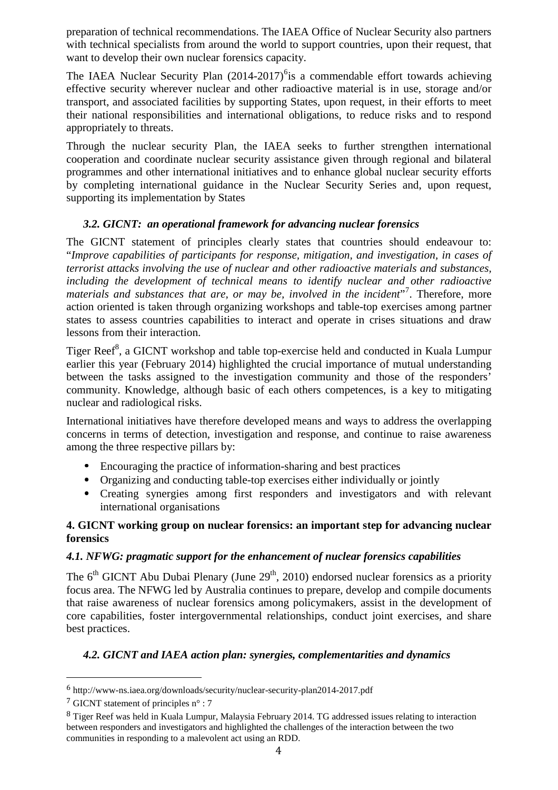preparation of technical recommendations. The IAEA Office of Nuclear Security also partners with technical specialists from around the world to support countries, upon their request, that want to develop their own nuclear forensics capacity.

The IAEA Nuclear Security Plan  $(2014-2017)^6$  is a commendable effort towards achieving effective security wherever nuclear and other radioactive material is in use, storage and/or transport, and associated facilities by supporting States, upon request, in their efforts to meet their national responsibilities and international obligations, to reduce risks and to respond appropriately to threats.

Through the nuclear security Plan, the IAEA seeks to further strengthen international cooperation and coordinate nuclear security assistance given through regional and bilateral programmes and other international initiatives and to enhance global nuclear security efforts by completing international guidance in the Nuclear Security Series and, upon request, supporting its implementation by States

# *3.2. GICNT: an operational framework for advancing nuclear forensics*

The GICNT statement of principles clearly states that countries should endeavour to: "*Improve capabilities of participants for response, mitigation, and investigation, in cases of terrorist attacks involving the use of nuclear and other radioactive materials and substances, including the development of technical means to identify nuclear and other radioactive*  materials and substances that are, or may be, involved in the incident"<sup>7</sup>. Therefore, more action oriented is taken through organizing workshops and table-top exercises among partner states to assess countries capabilities to interact and operate in crises situations and draw lessons from their interaction.

Tiger Reef<sup>8</sup>, a GICNT workshop and table top-exercise held and conducted in Kuala Lumpur earlier this year (February 2014) highlighted the crucial importance of mutual understanding between the tasks assigned to the investigation community and those of the responders' community. Knowledge, although basic of each others competences, is a key to mitigating nuclear and radiological risks.

International initiatives have therefore developed means and ways to address the overlapping concerns in terms of detection, investigation and response, and continue to raise awareness among the three respective pillars by:

- Encouraging the practice of information-sharing and best practices
- Organizing and conducting table-top exercises either individually or jointly
- Creating synergies among first responders and investigators and with relevant international organisations

### **4. GICNT working group on nuclear forensics: an important step for advancing nuclear forensics**

### *4.1. NFWG: pragmatic support for the enhancement of nuclear forensics capabilities*

The  $6<sup>th</sup> GICNT$  Abu Dubai Plenary (June 29<sup>th</sup>, 2010) endorsed nuclear forensics as a priority focus area. The NFWG led by Australia continues to prepare, develop and compile documents that raise awareness of nuclear forensics among policymakers, assist in the development of core capabilities, foster intergovernmental relationships, conduct joint exercises, and share best practices.

# *4.2. GICNT and IAEA action plan: synergies, complementarities and dynamics*

 $\overline{a}$ 

<sup>6</sup> http://www-ns.iaea.org/downloads/security/nuclear-security-plan2014-2017.pdf

<sup>7</sup> GICNT statement of principles n° : 7

<sup>8</sup> Tiger Reef was held in Kuala Lumpur, Malaysia February 2014. TG addressed issues relating to interaction between responders and investigators and highlighted the challenges of the interaction between the two communities in responding to a malevolent act using an RDD.